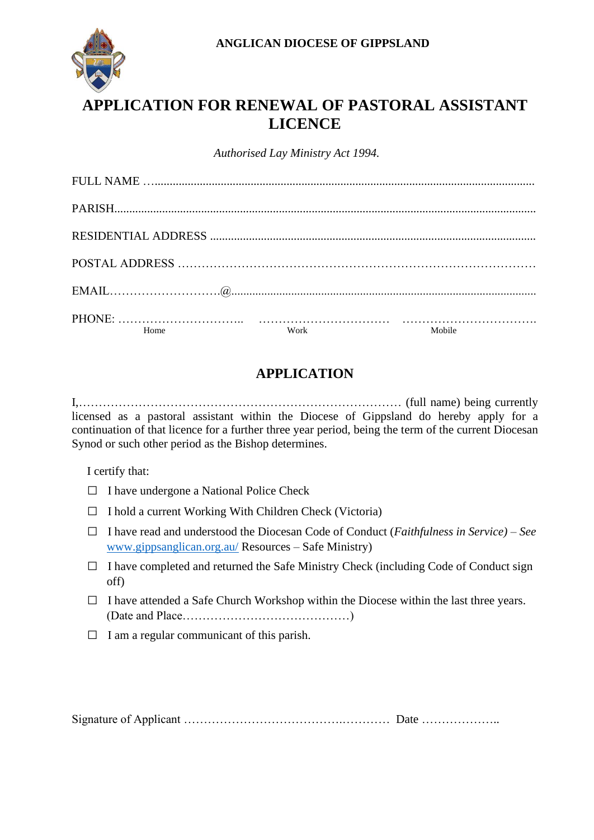

## **APPLICATION FOR RENEWAL OF PASTORAL ASSISTANT LICENCE**

*Authorised Lay Ministry Act 1994.*

| Home | Work | Mobile |
|------|------|--------|

## **APPLICATION**

I,……………………………………………………………………… (full name) being currently licensed as a pastoral assistant within the Diocese of Gippsland do hereby apply for a continuation of that licence for a further three year period, being the term of the current Diocesan Synod or such other period as the Bishop determines.

I certify that:

- $\Box$  I have undergone a National Police Check
- □ I hold a current Working With Children Check (Victoria)
- □ I have read and understood the Diocesan Code of Conduct (*Faithfulness in Service) – See*  [www.gippsanglican.org.au/](http://www.gippsanglican.org.au/) Resources – Safe Ministry)
- $\Box$  I have completed and returned the Safe Ministry Check (including Code of Conduct sign off)
- $\Box$  I have attended a Safe Church Workshop within the Diocese within the last three years. (Date and Place……………………………………)
- $\Box$  I am a regular communicant of this parish.

Signature of Applicant ………………………………….………… Date ………………..